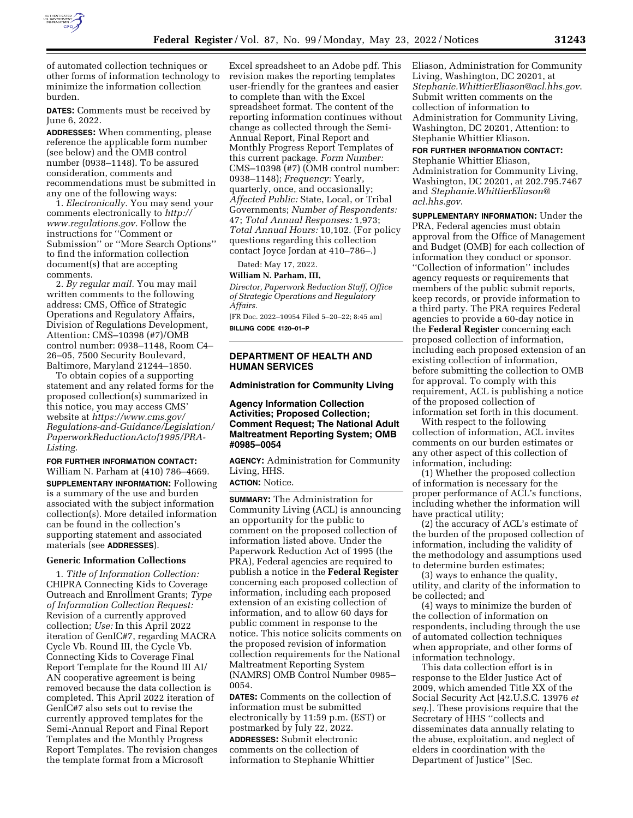

of automated collection techniques or other forms of information technology to minimize the information collection burden.

**DATES:** Comments must be received by June 6, 2022.

**ADDRESSES:** When commenting, please reference the applicable form number (see below) and the OMB control number (0938–1148). To be assured consideration, comments and recommendations must be submitted in any one of the following ways:

1. *Electronically.* You may send your comments electronically to *[http://](http://www.regulations.gov) [www.regulations.gov.](http://www.regulations.gov)* Follow the instructions for ''Comment or Submission'' or ''More Search Options'' to find the information collection document(s) that are accepting comments.

2. *By regular mail.* You may mail written comments to the following address: CMS, Office of Strategic Operations and Regulatory Affairs, Division of Regulations Development, Attention: CMS–10398 (#7)/OMB control number: 0938–1148, Room C4– 26–05, 7500 Security Boulevard, Baltimore, Maryland 21244–1850.

To obtain copies of a supporting statement and any related forms for the proposed collection(s) summarized in this notice, you may access CMS' website at *[https://www.cms.gov/](https://www.cms.gov/Regulations-and-Guidance/Legislation/PaperworkReductionActof1995/PRA-Listing)  [Regulations-and-Guidance/Legislation/](https://www.cms.gov/Regulations-and-Guidance/Legislation/PaperworkReductionActof1995/PRA-Listing)  PaperworkReductionActof1995/PRA-[Listing.](https://www.cms.gov/Regulations-and-Guidance/Legislation/PaperworkReductionActof1995/PRA-Listing)* 

**FOR FURTHER INFORMATION CONTACT:**  William N. Parham at (410) 786–4669. **SUPPLEMENTARY INFORMATION:** Following is a summary of the use and burden associated with the subject information collection(s). More detailed information can be found in the collection's supporting statement and associated materials (see **ADDRESSES**).

## **Generic Information Collections**

1. *Title of Information Collection:*  CHIPRA Connecting Kids to Coverage Outreach and Enrollment Grants; *Type of Information Collection Request:*  Revision of a currently approved collection; *Use:* In this April 2022 iteration of GenIC#7, regarding MACRA Cycle Vb. Round III, the Cycle Vb. Connecting Kids to Coverage Final Report Template for the Round III AI/ AN cooperative agreement is being removed because the data collection is completed. This April 2022 iteration of GenIC#7 also sets out to revise the currently approved templates for the Semi-Annual Report and Final Report Templates and the Monthly Progress Report Templates. The revision changes the template format from a Microsoft

Excel spreadsheet to an Adobe pdf. This revision makes the reporting templates user-friendly for the grantees and easier to complete than with the Excel spreadsheet format. The content of the reporting information continues without change as collected through the Semi-Annual Report, Final Report and Monthly Progress Report Templates of this current package. *Form Number:*  CMS–10398 (#7) (OMB control number: 0938–1148); *Frequency:* Yearly, quarterly, once, and occasionally; *Affected Public:* State, Local, or Tribal Governments; *Number of Respondents:*  47; *Total Annual Responses:* 1,973; *Total Annual Hours:* 10,102. (For policy questions regarding this collection contact Joyce Jordan at 410–786–.)

Dated: May 17, 2022.

### **William N. Parham, III,**

*Director, Paperwork Reduction Staff, Office of Strategic Operations and Regulatory Affairs.* 

[FR Doc. 2022–10954 Filed 5–20–22; 8:45 am] **BILLING CODE 4120–01–P** 

# **DEPARTMENT OF HEALTH AND HUMAN SERVICES**

### **Administration for Community Living**

# **Agency Information Collection Activities; Proposed Collection; Comment Request; The National Adult Maltreatment Reporting System; OMB #0985–0054**

**AGENCY:** Administration for Community Living, HHS.

**ACTION:** Notice.

**SUMMARY:** The Administration for Community Living (ACL) is announcing an opportunity for the public to comment on the proposed collection of information listed above. Under the Paperwork Reduction Act of 1995 (the PRA), Federal agencies are required to publish a notice in the **Federal Register**  concerning each proposed collection of information, including each proposed extension of an existing collection of information, and to allow 60 days for public comment in response to the notice. This notice solicits comments on the proposed revision of information collection requirements for the National Maltreatment Reporting System (NAMRS) OMB Control Number 0985– 0054.

**DATES:** Comments on the collection of information must be submitted electronically by 11:59 p.m. (EST) or postmarked by July 22, 2022. **ADDRESSES:** Submit electronic comments on the collection of information to Stephanie Whittier

Eliason, Administration for Community Living, Washington, DC 20201, at *[Stephanie.WhittierEliason@acl.hhs.gov](mailto:Stephanie.WhittierEliason@acl.hhs.gov)*. Submit written comments on the collection of information to Administration for Community Living, Washington, DC 20201, Attention: to Stephanie Whittier Eliason.

### **FOR FURTHER INFORMATION CONTACT:**

Stephanie Whittier Eliason, Administration for Community Living, Washington, DC 20201, at 202.795.7467 and *[Stephanie.WhittierEliason@](mailto:Stephanie.WhittierEliason@acl.hhs.gov) [acl.hhs.gov](mailto:Stephanie.WhittierEliason@acl.hhs.gov)*.

**SUPPLEMENTARY INFORMATION:** Under the PRA, Federal agencies must obtain approval from the Office of Management and Budget (OMB) for each collection of information they conduct or sponsor. ''Collection of information'' includes agency requests or requirements that members of the public submit reports, keep records, or provide information to a third party. The PRA requires Federal agencies to provide a 60-day notice in the **Federal Register** concerning each proposed collection of information, including each proposed extension of an existing collection of information, before submitting the collection to OMB for approval. To comply with this requirement, ACL is publishing a notice of the proposed collection of information set forth in this document.

With respect to the following collection of information, ACL invites comments on our burden estimates or any other aspect of this collection of information, including:

(1) Whether the proposed collection of information is necessary for the proper performance of ACL's functions, including whether the information will have practical utility;

(2) the accuracy of ACL's estimate of the burden of the proposed collection of information, including the validity of the methodology and assumptions used to determine burden estimates;

(3) ways to enhance the quality, utility, and clarity of the information to be collected; and

(4) ways to minimize the burden of the collection of information on respondents, including through the use of automated collection techniques when appropriate, and other forms of information technology.

This data collection effort is in response to the Elder Justice Act of 2009, which amended Title XX of the Social Security Act [42.U.S.C. 13976 *et seq.*]. These provisions require that the Secretary of HHS ''collects and disseminates data annually relating to the abuse, exploitation, and neglect of elders in coordination with the Department of Justice'' [Sec.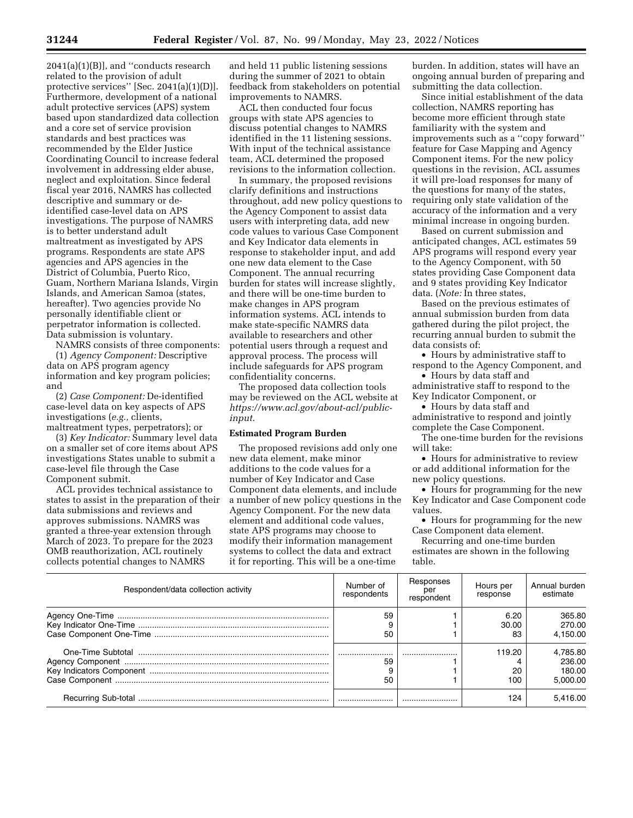2041(a)(1)(B)], and ''conducts research related to the provision of adult protective services'' [Sec. 2041(a)(1)(D)]. Furthermore, development of a national adult protective services (APS) system based upon standardized data collection and a core set of service provision standards and best practices was recommended by the Elder Justice Coordinating Council to increase federal involvement in addressing elder abuse, neglect and exploitation. Since federal fiscal year 2016, NAMRS has collected descriptive and summary or deidentified case-level data on APS investigations. The purpose of NAMRS is to better understand adult maltreatment as investigated by APS programs. Respondents are state APS agencies and APS agencies in the District of Columbia, Puerto Rico, Guam, Northern Mariana Islands, Virgin Islands, and American Samoa (states, hereafter). Two agencies provide No personally identifiable client or perpetrator information is collected. Data submission is voluntary.

NAMRS consists of three components: (1) *Agency Component:* Descriptive data on APS program agency information and key program policies;

and (2) *Case Component:* De-identified case-level data on key aspects of APS investigations (*e.g.,* clients, maltreatment types, perpetrators); or

(3) *Key Indicator:* Summary level data on a smaller set of core items about APS investigations States unable to submit a case-level file through the Case Component submit.

ACL provides technical assistance to states to assist in the preparation of their data submissions and reviews and approves submissions. NAMRS was granted a three-year extension through March of 2023. To prepare for the 2023 OMB reauthorization, ACL routinely collects potential changes to NAMRS

and held 11 public listening sessions during the summer of 2021 to obtain feedback from stakeholders on potential improvements to NAMRS.

ACL then conducted four focus groups with state APS agencies to discuss potential changes to NAMRS identified in the 11 listening sessions. With input of the technical assistance team, ACL determined the proposed revisions to the information collection.

In summary, the proposed revisions clarify definitions and instructions throughout, add new policy questions to the Agency Component to assist data users with interpreting data, add new code values to various Case Component and Key Indicator data elements in response to stakeholder input, and add one new data element to the Case Component. The annual recurring burden for states will increase slightly, and there will be one-time burden to make changes in APS program information systems. ACL intends to make state-specific NAMRS data available to researchers and other potential users through a request and approval process. The process will include safeguards for APS program confidentiality concerns.

The proposed data collection tools may be reviewed on the ACL website at *[https://www.acl.gov/about-acl/public](https://www.acl.gov/about-acl/public-input)[input](https://www.acl.gov/about-acl/public-input)*.

## **Estimated Program Burden**

The proposed revisions add only one new data element, make minor additions to the code values for a number of Key Indicator and Case Component data elements, and include a number of new policy questions in the Agency Component. For the new data element and additional code values, state APS programs may choose to modify their information management systems to collect the data and extract it for reporting. This will be a one-time

burden. In addition, states will have an ongoing annual burden of preparing and submitting the data collection.

Since initial establishment of the data collection, NAMRS reporting has become more efficient through state familiarity with the system and improvements such as a ''copy forward'' feature for Case Mapping and Agency Component items. For the new policy questions in the revision, ACL assumes it will pre-load responses for many of the questions for many of the states, requiring only state validation of the accuracy of the information and a very minimal increase in ongoing burden.

Based on current submission and anticipated changes, ACL estimates 59 APS programs will respond every year to the Agency Component, with 50 states providing Case Component data and 9 states providing Key Indicator data. (*Note:* In three states,

Based on the previous estimates of annual submission burden from data gathered during the pilot project, the recurring annual burden to submit the data consists of:

• Hours by administrative staff to respond to the Agency Component, and

• Hours by data staff and administrative staff to respond to the Key Indicator Component, or

• Hours by data staff and administrative to respond and jointly complete the Case Component.

The one-time burden for the revisions will take:

• Hours for administrative to review or add additional information for the new policy questions.

• Hours for programming for the new Key Indicator and Case Component code values.

• Hours for programming for the new Case Component data element.

Recurring and one-time burden estimates are shown in the following table.

| Respondent/data collection activity | Number of<br>respondents | Responses<br>per<br>respondent | Hours per<br>response | Annual burden<br>estimate                |
|-------------------------------------|--------------------------|--------------------------------|-----------------------|------------------------------------------|
|                                     | 59<br>50                 |                                | 6.20<br>30.00<br>83   | 365.80<br>270.00<br>4.150.00             |
|                                     | <br>59<br>50             |                                | 119.20<br>20<br>100   | 4.785.80<br>236.00<br>180.00<br>5.000.00 |
|                                     |                          |                                | 124                   | 5,416.00                                 |